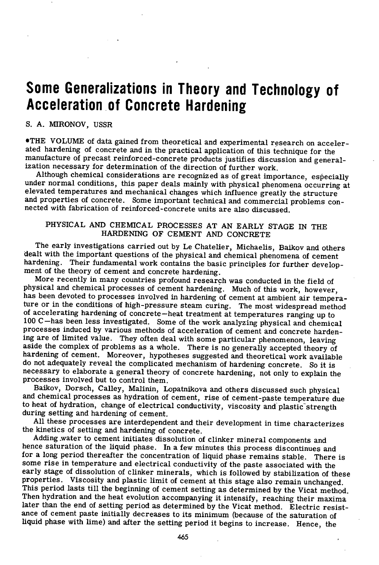# **Some Generalizations in Theory and Technology of Acceleration of Concrete Hardening**

#### S. A. MIRONOV, USSR

THE VOLUME of data gained from theoretical and experimental research on accelerated hardening of concrete and in the practical application of this technique for the manufacture of precast reinforced-concrete products justifies discussion and generalization necessary for determination of the direction of further work.

Although chemical considerations are recognized as of great importance, especially under normal conditions, this paper deals mainly with physical phenomena occurring at elevated temperatures and mechanical changes which influence greatly the structure and properties of concrete. Some important technical and commercial problems connected with fabrication of reinforced -concrete units are also discussed.

# PHYSICAL AND CHEMICAL PROCESSES AT AN EARLY STAGE IN THE HARDENING OF CEMENT AND CONCRETE

The early investigations carried out by Le Chatelier, Michaelis, Baikov and others dealt with the important questions of the physical and chemical phenomena of cement hardening. Their fundamental work contains the basic principles for further development of the theory of cement and concrete hardening.

More recently in many countries profound research was conducted in the field of physical and chemical processes of cement hardening. Much of this work, however, has been devoted to processes involved in hardening of cement at ambient air temperature or in the conditions of high-pressure steam curing. The most widespread method of accelerating hardening of concrete—heat treatment at temperatures ranging up to 100 C—has been less investigated. Some of the work analyzing physical and chemical processes induced by various methods of acceleration of cement and concrete hardening are of limited value. They often deal with some particular phenomenon, leaving aside the complex of problems as a whole. There is no generally accepted theory of hardening of cement. Moreover, hypotheses suggested and theoretical work available do not adequately reveal the complicated mechanism of hardening concrete. So it is necessary to elaborate a general theory of concrete hardening, not only to explain the processes involved but to control them.

Baikov, Dorsch, Calley, Malinin, Lopatnikova and others discussed such physical and chemical processes as hydration of cement, rise of cement-paste temperature due to heat of hydration, change of electrical conductivity, viscosity and plastic strength during setting and hardening of cement.

All these processes are interdependent and their development in time characterizes the kinetics of setting and hardening of concrete.

Adding water to cement initiates dissolution of clinker mineral components and hence saturation of the liquid phase. In a few minutes this process discontinues and for a long period thereafter the concentration of liquid phase remains stable. There is some rise in temperature and electrical conductivity of the paste associated with the early stage of dissolution of clinker minerals, which is followed by stabilization of these properties. Viscosity and plastic limit of cement at this stage also remain unchanged. This period lasts till the beginning of cement setting as determined by the Vicat method. Then hydration and the heat evolution accompanying it intensify, reaching their maxima later than the end of setting period as determined by the Vicat method. Electric resistance of cement paste initially decreases to its minimum (because of the saturation of liquid phase with lime) and after the setting period it begins to increase. Hence, the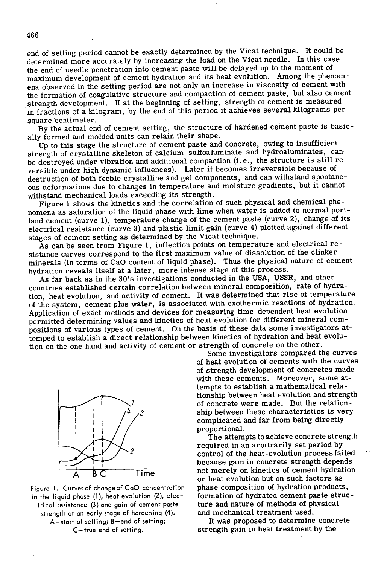end of setting period cannot be exactly determined by the Vicat technique. It could be determined more accurately by increasing the load on the Vicat needle. In this case the end of needle penetration into cement paste will be delayed up to the moment of maximum development of cement hydration and its heat evolution. Among the phenomena observed in the setting period are not only an increase in viscosity of cement with the formation of coagulative structure and compaction of cement paste, but also cement strength development. If at the beginning of setting, strength of cement is measured in fractions of a kilogram, by the end of this period it achieves several kilograms per square centimeter.

By the actual end of cement setting, the structure of hardened cement paste is basically formed and molded units can retain their shape.

Up to this stage the structure of cement paste and concrete, owing to insufficient strength of crystalline skeleton of calcium sulfoaluminate and hydroaluminates, can be destroyed under vibration and additional compaction (i. e., the structure is still reversible under high dynamic influences). Later it becomes irreversible because of destruction of both feeble crystalline and gel components, and can withstand spontaneous deformations due to changes in temperature and moisture gradients, but it cannot withstand mechanical loads exceeding its strength.

Figure 1 shows the kinetics and the correlation of such physical and chemical phenomena as saturation of the liquid phase with lime when water is added to normal portland cement (curve 1), temperature change of the cement paste (curve 2), change of its electrical resistance (curve 3) and plastic limit gain (curve 4) plotted against different stages of cement setting as determined by the Vicat technique.

As can be seen from Figure 1, inflection points on temperature and electrical resistance curves correspond to the first maximum value of dissolution of the clinker minerals (in terms of CaO content of liquid phase). Thus the physical nature of cement hydration reveals itself at a later, more intense stage of this process.

As far back as in the 30's investigations conducted in the USA, USSR, and other countries established certain correlation between mineral composition, rate of hydration, heat evolution, and activity of cement. It was determined that rise of temperature of the system, cement plus water, is associated with exothermic reactions of hydration. Application of exact methods and devices for measuring time-dependent heat evolution permitted determining values and kinetics of heat evolution for different mineral compositions of various types of cement. On the basis of these data some investigators attemped to establish a direct relationship between kinetics of hydration and heat evolution on the one hand and activity of cement or strength of concrete on the other.



Figure 1. Curves of change of CaO concentration trical resistance (3) and gain of cement paste ture and nature of methods of physical<br>strength of an early stage of hardening (4). and mechanical treatment used. strength at an early stage of hardening (4).

Some investigators compared the curves of heat evolution of cements with the curves of strength development of concretes made with these cements. Moreover, some attempts to establish a mathematical relations hip between heat evolution and strength of concrete were made. But the relationship between these characteristics is very complicated and far from being directly proportional.

The attempts to achieve concrete strength required in an arbitrarily set period by control of the heat-evolution process failed because gain in concrete strength depends Time not merely on kinetics of cement hydration or heat evolution but on such factors as phase composition of hydration products, in the liquid phase (1), heat evolution (2), elec- formation of hydrated cement paste struc-

A—start of setting; B—end of setting; It was proposed to determine concrete C-true end of setting. strength gain in heat treatment by the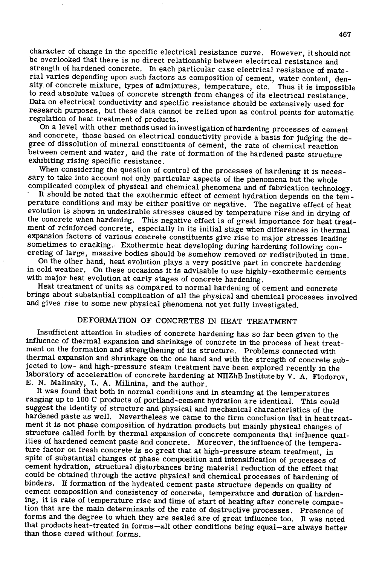character of change in the specific electrical resistance curve. However, it should not be overlooked that there is no direct relationship between electrical resistance and strength of hardened concrete. In each particular case electrical resistance of material varies depending upon such factors as composition of cement, water content, density, of concrete mixture, types of admixtures, temperature, etc. Thus it is impossible to read absolute values of concrete strength from changes of its electrical resistance. Data on electrical conductivity and specific resistance should be extensively used for research purposes, but these data cannot be relied upon as control points for automatic regulation of heat treatment of products.

On a level with other methods used in investigation of hardening processes of cement and concrete, those based on electrical conductivity provide a basis for judging the degree of dissolution of mineral constituents of cement, the rate of chemical reaction between cement and water, and the rate of formation of the hardened paste structure exhibiting rising specific resistance.

When considering the question of control of the processes of hardening it is necessary to take into account not only particular aspects of the phenomena but the whole complicated complex of physical and chemical phenomena and of fabrication technology.

It should be noted that the exothermic effect of cement hydration depends on the temperature conditions and may be either positive or negative. The negative effect of heat evolution is shown in undesirable stresses caused by temperature rise and in drying of the concrete when hardening. This negative effect is of great importance for heat treatment of reinforced concrete, especially in its initial stage when differences in thermal expansion factors of various concrete constituents give rise to major stresses leading sometimes to cracking.. Exothermic heat developing during hardening following concreting of large, massive bodies should be somehow removed or redistributed in time.

On the other hand, heat evolution plays a very positive part in concrete hardening in cold weather. On these occasions it is advisable to use highly-exothermic cements with major heat evolution at early stages of concrete hardening.

Heat treatment of units as compared to normal hardening of cement and concrete brings about substantial complication of all the physical and chemical processes involved and gives rise to some new physical phenomena not yet fully investigated.

# DEFORMATION OF CONCRETES IN HEAT TREATMENT

Insufficient attention in studies of concrete hardening has so far been given to the influence of thermal expansion and shrinkage of concrete in the process of heat treatment on the formation and strengthening of its structure. Problems connected with thermal expansion and shrinkage on the one hand and with the strength of concrete subjected to low- and high-pressure steam treatment have been explored recently in the laboratory of acceleration of concrete hardening at NIIZhB Institute by V. A. Fiodorov, E. N. Malinsky, L. A. Milinina, and the author.

It was found that both in normal conditions and in steaming at the temperatures ranging up to 100 C products of portland-cement hydration are identical. This could suggest the identity of structure and physical and mechanical characteristics of the hardened paste as well. Nevertheless we came to the firm conclusion that in heat treatment it is not phase composition of hydration products but mainly physical changes of structure called forth by thermal expansion of concrete components that influence qualities of hardened cement paste and concrete. Moreover, the influence of the temperature factor on fresh concrete is so great that at high-pressure steam treatment, in spite of substantial changes of phase composition and intensification of processes of cement hydration, structural disturbances bring material reduction of the effect that could be obtained through the active physical and chemical processes of hardening of binders. If formation of the hydrated cement paste structure depends on quality of cement composition and consistency of concrete, temperature and duration of hardening, it is rate of temperature rise and time of start of heating after concrete compaction that are the main determinants of the rate of destructive processes. Presence of forms and the degree to which they are sealed are of great influence too. It was noted that products heat-treated in forms —all other conditions being equal—are always better than those cured without forms.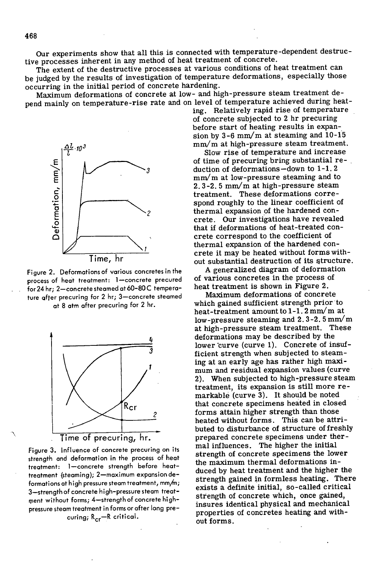Our experiments show that all this is connected with temperature -dependent destructive processes inherent in any method of heat treatment of concrete.

The extent of the destructive processes at various conditions of heat treatment can be judged by the results of investigation of temperature deformations, especially those occurring in the initial period of concrete hardening.

Maximum deformations of concrete at low- and high-pressure steam treatment depend mainly on temperature-rise rate and on level of temperature achieved during heating. Relatively rapid rise of temperature



of time of precuring bring substantial re-Friday of time of precuring bring substantial 1<br>
duction of deformations —down to 1-1. 2<br>
mm/m at low-pressure steaming and to<br>
2.3-2.5 mm/m at high-pressure steam<br>
treatment. These deformations corre-<br>
spond roughly to th  $mm/m$  at low-pressure steaming and to  $2.3-2.5$  mm/m at high-pressure steam treatment. These deformations correspond roughly to the linear coefficient of thermal expansion of the hardened concrete. Our investigations have revealed that if deformations of heat-treated concrete correspond to the coefficient of thermal expansion of the hardened concrete it may be heated without forms without substantial destruction of its structure.

at 8 atm after precuring for 2 hr. which gained sufficient strength prior to heat-treatment amount to  $1-1$ .  $2 \text{ mm/m}$  at heat-treatment amount to 1-1.2 mm/m at<br>
low-pressure steaming and 2.3-2.5 mm/m<br>
at high-pressure steam treatment. These<br>
deformations may be described by the<br>
lower curve (curve 1). Concrete of insuf-<br>
ficient strength whe at high-pressure steam treatment. These deformations may be described by the<br>lower curve (curve 1). Concrete of insufficient strength when subjected to steaming at an early age has rather high maximum and residual expansion values (curve mum and residual expansion values (curve<br>
2). When subjected to high-pressure steam<br>
treatment, its expansion is still more re-<br>
markable (curve 3). It should be noted treatment, its expansion is still more re-<br>markable (curve 3). It should be noted<br>that concrete specimens heated in closed that concrete specimens heated in closed<br>
2 forms attain higher strength than those *<sup>2</sup>*forms attain higher strength than those heated without forms. This can be attributed to disturbance of structure of freshly Time of precuring, hr. prepared concrete specimens under ther-Figure 3. Influence of concrete precuring on its mal influences. The higher the initial strength of concrete specimens the lower treatment: 1-concrete strength before heat-<br>duced by heat treatment and the higher the strength gained in formless heating. There formations at high pressure steam treatment, mm/m;<br>3—strength of concrete high-pressure steam treat-<br>3—strength of concrete high-pressure steam treat-<br>strium.th b, the match initial, so-called critical insures identical physical and mechanical properties of concretes heating and without forms.

Figure 2. Deformations of various concretes in the A generalized diagram of deformations of heat treatment: 1-concrete precured of various concretes in the process of process of heat treatment: 1—concrete precured of various concretes in the process of heat treatment is shown in Figure 2. for 24 hr; 2—concrete steamed at 60-80 C tempera- heat treatment is shown in Figure 2. ture after precuring for 2 hr; 3-concrete steamed

Time, hr



strength and deformation in the process of heat surengui of concrete specimens the lower treatment (steaming); 2-maximum expansion derespectively concrete might pressure steam frequency.<br>
strength of concrete which, once gained,<br>
strength of concrete which, once gained, pressure steam treatment in forms or after long precuring; R<sub>cr</sub>-R critical.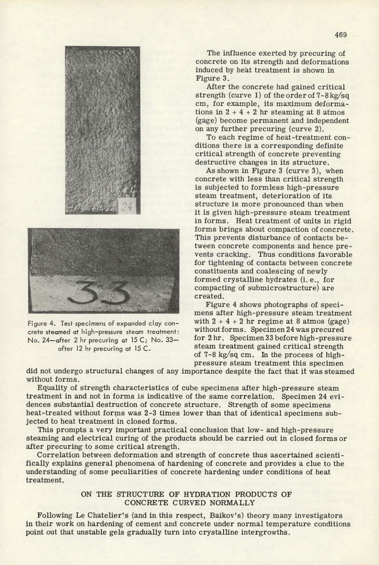

crete steamed at high-pressure steam treatment:

The influence exerted by precuring of ; concrete on its strength and deformations induced by heat treatment is shown in Figure 3.

After the concrete had gained critical strength (curve 1) of the order of 7-8kg/sq cm, for example, its maximum deformations in  $2 + 4 + 2$  hr steaming at 8 atmos (gage) become permanent and independent on any further precuring (curve 2).

To each regime of heat-treatment conditions there is a corresponding definite critical strength of concrete preventing destructive changes in its structure.

As shown in Figure 3 (curve 3), when concrete with less than critical strength is subjected to formless high-pressure steam treatment, deterioration of its structure is more pronounced than when it is given high-pressure steam treatment in forms. Heat treatment of units in rigid forms brings about compaction of concrete. This prevents disturbance of contacts between concrete components and hence prevents cracking. Thus conditions favorable for tightening of contacts between concrete - constituents and coalescing of newly formed crystalline hydrates (i.e., for compacting of submicrostructure) are created.

Figure 4 shows photographs of specimens after high-pressure steam treatment Figure 4. Test specimens of expanded clay con-<br>crate steamed at high-pressure steam treatment: without forms. Specimen 24 was precured No. 24-after 2 hr precuring at 15 C; No. 33- for 2 hr. Specimen 33 before high-pressure after 12 hr precuring at 15 C. steam treatment gained critical strength of 7-8 kg/sq cm. In the process of highpressure steam treatment this specimen

did not undergo structural changes of any importance despite the fact that it was steamed without forms.

Equality of strength characteristics of cube specimens after high-pressure steam treatment in and not in forms is indicative of the same correlation. Specimen 24 evidences substantial destruction of concrete structure. Strength of some specimens heat-treated without forms was 2-3 times lower than that of identical specimens subjected to heat treatment in closed forms.

This prompts a very important practical conclusion that low- and high-pressure steaming and electrical curing of the products should be carried out in closed forms or after precuring to some critical strength.

Correlation between deformation and strength of concrete thus ascertained scientifically explains general phenomena of hardening of concrete and provides a clue to the understanding of some peculiarities of concrete hardening under conditions of heat treatment.

#### ON THE STRUCTURE OF HYDRATION PRODUCTS OF CONCRETE CURVED NORMALLY

Following Le Chatelier's (and in this respect, Baikov's) theory many investigators in their work on hardening of cement and concrete under normal temperature conditions point out that unstable gels gradually turn into crystalline intergrowths.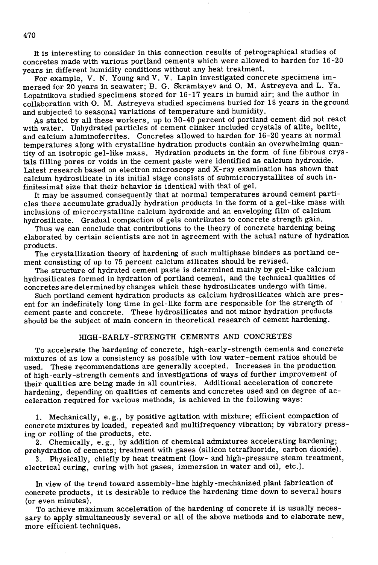It is interesting to consider in this connection results of petrographical studies of concretes made with various portland cements which were allowed to harden for 16-20 years in different humidity conditions without any heat treatment.

For example, V. N. Young and V. V. Lapin investigated concrete specimens immersed for 20 years in seawater; B. G. Skramtayev and 0. M. Astreyeva and L. Ya. Lopatnikova studied specimens stored for 16-17 years in humid air; and the author in collaboration with 0. M. Astreyeva studied specimens buried for 18 years in the ground and subjected to seasonal variations of temperature and humidity.

As stated by all these workers, up to 30-40 percent of portland cement did not react with water. Unhydrated particles of cement clinker included crystals of alite, belite, and calcium aluminoferrites. Concretes allowed to harden for 16-20 years at normal temperatures along with crystalline hydration products contain an overwhelming quantity of an isotropic gel-like mass. Hydration products in the form of fine fibrous crystals filling pores or voids in the cement paste were identified as calcium hydroxide. Latest research based on electron microscopy and X-ray examination has shown that calcium hydrosilicate in its initial stage consists of submicrocrystallites of such infinitesimal size that their behavior is identical with that of gel.

It may be assumed consequently that at normal temperatures around cement particles there accumulate gradually hydration products in the form of a gel-like mass with inclusions of microcrystalline calcium hydroxide and an enveloping film of calcium hydrosilicate. Gradual compaction of gels contributes to concrete strength gain.

Thus we can conclude that contributions to the theory of concrete hardening being elaborated by certain scientists are not in agreement with the actual nature of hydration products.

The crystallization theory of hardening of such multiphase binders as portland cement consisting of up to 75 percent calcium silicates should be revised.

The structure of hydrated cement paste is determined mainly by gel-like calcium hydrosilicates formed in hydration of portland cement, and the technical qualities of concretes are determined by changes which these hydrosilicates undergo with time.

Such portland cement hydration products as calcium hydrosilicates which are present for an indefinitely long time in gel-like form are responsible for the strength of cement paste and concrete. These hydrosilicates and not minor hydration products should be the subject of main concern in theoretical research of cement hardening.

## HIGH -EARLY -STRENGTH CEMENTS AND CONCRETES

To accelerate the hardening of concrete, high -early -strength cements and concrete mixtures of as low a consistency as possible with low water-cement ratios should be used. These recommendations are generally accepted. Increases in the production of high -early -strength cements and investigations of ways of further improvement of their qualities are being made in all countries. Additional acceleration of concrete hardening, depending on qualities of cements and concretes used and on degree of acceleration required for various methods, is achieved in the following ways:

Mechanically, e.g., by positive agitation with mixture; efficient compaction of concrete mixtures by loaded, repeated and multifrequency vibration; by vibratory pressing or rolling of the products, etc.

Chemically, e. g., by addition of chemical admixtures accelerating hardening; prehydration of cements; treatment with gases (silicon tetrafluoride, carbon dioxide).

Physically, chiefly by heat treatment (low- and high-pressure steam treatment, electrical curing, curing with hot gases, immersion in water and oil, etc.).

In view of the trend toward assembly-line highly-mechanized plant fabrication of concrete products, it is desirable to reduce the hardening time down to several hours (or even minutes).

To achieve maximum acceleration of the hardening of concrete **it is** usually necessary to apply simultaneously several or all of the above methods and to elaborate new, more efficient. techniques.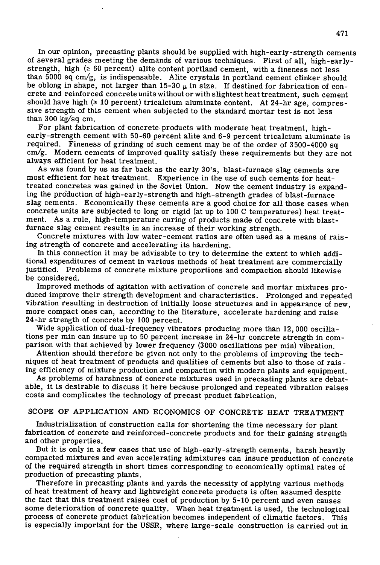In our opinion, precasting plants should be supplied with high-early-strength cements of several grades meeting the demands of various techniques. First of all, high-earlystrength, high  $(2-60$  percent) alite content portland cement, with a fineness not less than 5000 sq  $cm/g$ , is indispensable. Alite crystals in portland cement clinker should be oblong in shape, not larger than  $15-30 \mu$  in size. If destined for fabrication of concrete and reinforced concrete units without or with slightest heat treatment, such cement should have high  $(≥ 10$  percent) tricalcium aluminate content. At 24-hr age, compressive strength of this cement when subjected to the standard mortar test is not less than 300 kg/sq cm.

For plant fabrication of concrete products with moderate heat treatment, highearly-strength cement with 50-60 percent alite and 6-9 percent tricalcium aluminate is required. Fineness of grinding of such cement may be of the order of 3500-4000 sq cm/g. Modern cements of improved quality satisfy these requirements but they are not always efficient for heat treatment.

As was found by us as far back as the early 30's, blast-furnace slag cements are most efficient for heat treatment. Experience in the use of such cements for heattreated concretes was gained in the Soviet Union. Now the cement industry is expanding the prdduction of high-early-strength and high-strength grades of blast-furnace slag cements. Economically these cements are a good choice for all those cases when concrete units are subjected to long or rigid (at up to 100 C temperatures) heat treatment. As a rule, high-temperature curing of products made of concrete with blastfurnace slag cement results in an increase of their working strength.

Concrete mixtures with low water-cement ratios are often used as a means of raising strength of concrete and accelerating its hardening.

In this connection it may be advisable to try to determine the extent to which additional expenditures of cement in various methods of heat treatment are commercially justified. Problems of concrete mixture proportions and compaction should likewise be considered.

Improved methods of agitation with activation of concrete and mortar mixtures produced improve their strength development and characteristics. Prolonged and repeated vibration resulting in destruction of initially loose structures and in appearance of new, more compact ones can, according to the literature, accelerate hardening and raise 24-hr strength of concrete by 100 percent.

Wide application of dual-frequency vibrators producing more than 12, 000 oscillations per min can insure up to 50 percent increase in 24-hr concrete strength in comparison with that achieved by lower frequency (3000 oscillations per min) vibration.

Attention should therefore be given not only to the problems of improving the techniques of heat treatment of products and qualities of cements but also to those of raising efficiency of mixture production and compaction with modern plants and equipment.

As problems of harshness of concrete mixtures used in precasting plants are debatable, it is desirable to discuss it here because prolonged and repeated vibration raises costs and complicates the technology of precast product fabrication.

### SCOPE OF APPLICATION AND ECONOMICS OF CONCRETE HEAT TREATMENT

Industrialization of construction calls for shortening the time necessary for plant fabrication of concrete and reinforced-concrete products and for their gaining strength and other properties.

But it is only in a few cases that use of high-early-strength cements, harsh heavily compacted mixtures and even accelerating admixtures can insure production of concrete of the required strength in short times corresponding to economically optimal rates of production of precasting plants.

Therefore in precasting plants and yards the necessity of applying various methods of heat treatment of heavy and lightweight concrete products is often assumed despite the fact that this treatment raises cost of production by 5-10 percent and even causes some deterioration of concrete quality. When heat treatment is used, the technological process of concrete product fabrication becomes independent of climatic factors. This is especially important for the USSR, where large-scale construction is carried out in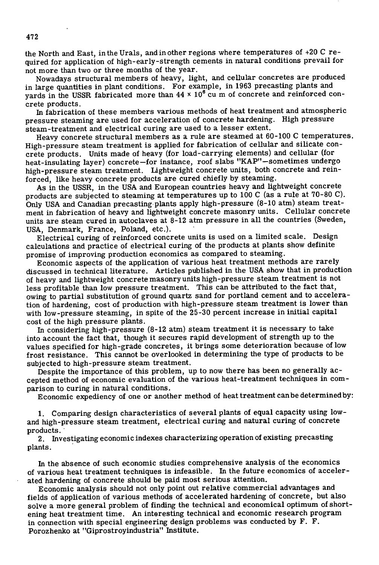the North and East, in the Urals, and in other regions where temperatures of +20 C required for application of high- early -strength cements in natural conditions prevail for not more than two or three months of the year.

Nowadays structural members of heavy, light, and cellular concretes are produced in large quantities in plant conditions. For example, in 1963 precasting plants and yards in the USSR fabricated more than  $44 \times 10^6$  cu m of concrete and reinforced concrete products.

In fabrication of these members various methods of heat treatment and atmospheric pressure steaming are used for acceleration of concrete hardening. High pressure steam-treatment and electrical curing are used to a lesser extent.

Heavy concrete structural members as a rule are steamed at 60-100 C temperatures. High-pressure steam treatment is applied for fabrication of cellular and silicate concrete products. Units made of heavy (for load-carrying elements) and cellular (for heat-insulating layer) concrete—for instance, roof slabs "KAP"—sometimes undergo high-pressure steam treatment. Lightweight concrete units, both concrete and reinforced, like heavy concrete products are cured chiefly by steaming.

As in the USSR, in the USA and European countries heavy and lightweight concrete products are subjected to steaming at temperatures up to 100 C (as a rule at 70-80 C). Only USA and Canadian precasting plants apply high-pressure (8-10 atm) steam treatment in fabrication of heavy and lightweight concrete masonry units. Cellular concrete units are steam cured in autoclaves at 8-12 atm pressure in all the countries (Sweden, USA, Denmark, France, Poland, etc.).

Electrical curing of reinforced concrete units is used on a limited scale. Design calculations and practice of electrical curing of the products at plants show definite promise of improving production economics as compared to steaming.

Economic aspects of the application of various heat treatment methods are rarely discussed in technical literature. Articles published in the USA show that in production of heavy and lightweight concrete masonry units high-pressure steam treatment is not less profitable than low pressure treatment. This can be attributed to the fact that, owing to partial substitution of ground quartz sand for portland cement and to acceleration of hardening, cost of production with high-pressure steam treatment is lower than with low-pressure steaming, in spite of the 25-30 percent increase in initial capital cost of the high pressure plants.

In considering high-pressure (8-12 atm) steam treatment it is necessary to take into account the fact that, though it secures rapid development of strength up to the values specified for high-grade concretes, it brings some deterioration because of low frost resistance. This cannot be overlooked in determining the type of products to be subjected to high-pressure steam treatment.

Despite the importance of this problem, up to now there has been no generally accepted method of economic evaluation of the various heat-treatment techniques in comparison to curing in natural conditions.

Economic expediency of one or another method of heat treatment can be determined by:

Comparing design characteristics of several plants of equal capacity using lowand high-pressure steam treatment, electrical curing and natural curing of concrete products.

2. Investigating economic indexes characterizing operation of existing precasting plants.

In the absence of such economic studies comprehensive analysis of the economics of various heat treatment techniques is infeasible. In the future economics of accelerated hardening of concrete should be paid most serious attention.

Economic analysis should not only point out relative commercial advantages and fields of application of various methods of accelerated hardening of concrete, but also solve a more general problem of finding the technical and economical optimum of shortening heat treatment time. An interesting technical and economic research program in connection with special engineering design problems was conducted by F. F. Porozhenko at "Giprostroyindustria" Institute.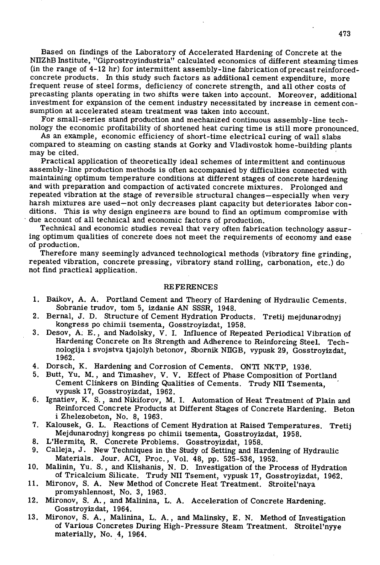Based on findings of the Laboratory of Accelerated Hardening of Concrete at the NHZhB Institute, "Giprostroyindustria" calculated economics of different steaming times (in the range of 4-12 hr) for intermittent assembly-line fabrication of precast reinforcedconcrete products. In this study such factors as additional cement expenditure, more frequent reuse of steel forms, deficiency of concrete strength, and all other costs of precasting plants operating in two shifts were taken into account. Moreover, additional investment for expansion of the cement industry necessitated by increase in cement consumption at accelerated steam treatment was taken into account.

For small-series stand production and mechanized continuous assembly-line technology the economic profitability of shortened heat curing time is still more pronounced.

As an example, economic efficiency of short-time electrical curing of wall slabs compared to steaming on casting stands at Gorky and Vladivostok home-building plants may be cited.

Practical application of theoretically ideal schemes of intermittent and continuous assembly-line production methods is often accompanied by difficulties connected with maintaining optimum temperature conditions at different stages of concrete hardening and with preparation and compaction of activated concrete mixtures. Prolonged and repeated vibration at the stage of reversible structural changes—especially when very harsh mixtures are used—not only decreases plant capacity but deteriorates labor conditions. This is why design engineers are bound to find an optimum compromise with due account of all technical and economic factors of production.

Technical and economic studies reveal that very often fabrication technology assuring optimum qualities of concrete does not meet the requirements of economy and ease of production.

Therefore many seemingly advanced technological methods (vibratory fine grinding, repeated vibration, concrete pressing, vibratory stand rolling, carbonation, etc.) do not find practical application.

#### REFERENCES

- Baikov, A. A. Portland Cement and Theory of Hardening of Hydraulic Cements. Sobranie trudov, tom 5, izdanie AN SSSR, 1948.
- 2. Bernal, J. D. Structure of Cement Hydration Products. Tretij mejdunarodnyj kongress p0 chimii tsementa, Gosstroyizdat, 1958.
- Desov, A; E., and Nadoisky, V. I. Influence of Repeated Periodical Vibration of Hardening Concrete on Its Strength and Adherence to Reinforcing Steel. Technologija i svojstva tjajolyh betonov, Sbornik NIIGB, vypusk 29, Gosstroyizdat, 1962.
- Dorsch, K. Hardening and Corrosion of Cements. ONTI NKTP, 1938.
- Butt, *Yu.* M., and Timashev, V. V. Effect of Phase Composition of Portland Cement Clinkers on Binding Qualities of Cements. Trudy NI! Tsementa, vypusk 17, Gosstroyizdat, 1962.
- 6. Ignatiev, K. S., and Nikiforov, M. I. Automation of Heat Treatment of Plain and Reinforced Concrete Products at Different Stages of Concrete Hardening. Beton i Zhelezobeton, No. 8, 1963.
- 7. Kalousek, G. L. Reactions of Cement Hydration at Raised Temperatures. Tretij Mejdunarodnyj kongress p0 chimii tsementa, Gosstroyizdat, 1958.
- 8. L'Hermite, R. Concrete Problems. Gosstroyizdat, 1958.
- Calleja, J. New Techniques in the Study of Setting and Hardening of Hydraulic 9. Materials. Jour. ACI, Proc., Vol. 48, pp. 525-536, 1952.
- Malinin, Yu. S., and Klishanis, N. D. Investigation of the Process of Hydration of Tricalcium Silicate. Trudy NH Tsement, vypusk 17, Gosstroyizdat, 1962.
- 11. Mironov, S. A. New Method of Concrete Heat Treatment. Stroitel'naya promyshlennost, No. 3, 1963.
- Mironov, S. A., and Malinina, L. A. Acceleration of Concrete Hardening. Gosstroyizdat, 1964.
- Mironov, S. A., Malinina, L. A., and Malinsky, E. N. Method of Investigation of Various Concretes During High-Pressure Steam Treatment. Stroitel'nyye materially, No. 4, 1964.